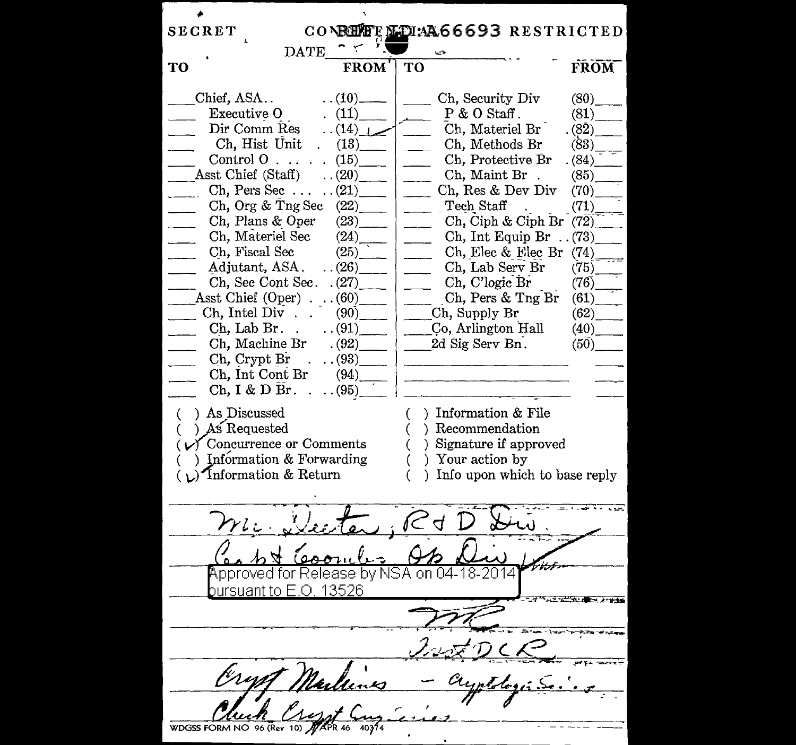| <b>SECRET</b>                                  |                        | CONBEET LOIM 66693 RESTRICTED                                                                                                                                                                                                                                                                                   |             |  |  |  |
|------------------------------------------------|------------------------|-----------------------------------------------------------------------------------------------------------------------------------------------------------------------------------------------------------------------------------------------------------------------------------------------------------------|-------------|--|--|--|
| $\mathop{\mathrm{DATE}}$                       |                        |                                                                                                                                                                                                                                                                                                                 |             |  |  |  |
| TO                                             | <b>FROM</b>            | TО                                                                                                                                                                                                                                                                                                              | <b>FROM</b> |  |  |  |
|                                                |                        |                                                                                                                                                                                                                                                                                                                 |             |  |  |  |
| Chief, ASA                                     | $\ldots$ (10) ——       | Ch, Security Div<br>$\frac{1}{2}$                                                                                                                                                                                                                                                                               | (80)        |  |  |  |
| Executive O                                    | (11)                   | $P & O$ Staff.                                                                                                                                                                                                                                                                                                  | (81)        |  |  |  |
| Dir Comm Res                                   | $\ldots$ (14) $\ldots$ | Ch, Materiel Br                                                                                                                                                                                                                                                                                                 | (82)        |  |  |  |
| Ch, Hist Unit                                  | (13)                   | Ch, Methods Br<br>$\overline{\phantom{a}}$                                                                                                                                                                                                                                                                      | (83)        |  |  |  |
| Control O $\ldots$ $(15)$                      |                        | Ch, Protective Br<br>$\overline{\phantom{a}}$                                                                                                                                                                                                                                                                   | (84)        |  |  |  |
| Asst Chief (Staff)                             | (20)                   | Ch, Maint Br.<br>$\overline{\phantom{a}}$                                                                                                                                                                                                                                                                       | (85)        |  |  |  |
| Ch, Pers Sec $\ldots$ (21)                     |                        | Ch, Res & Dev Div<br>$\overline{\phantom{a}}$                                                                                                                                                                                                                                                                   | (70)        |  |  |  |
| Ch, Org & Tng Sec $(22)$                       |                        | $\vert$ ______ $\vert$ Tech Staff                                                                                                                                                                                                                                                                               | (71)        |  |  |  |
| Ch, Plans & Oper $(23)$                        |                        | Ch, Ciph & Ciph Br (72)<br>$\overline{\phantom{a}}$                                                                                                                                                                                                                                                             |             |  |  |  |
| Ch, Materiel Sec (24)                          |                        | Ch, Int Equip Br $\ldots$ (73)<br>$\frac{1}{2}$                                                                                                                                                                                                                                                                 |             |  |  |  |
| Ch, Fiscal Sec                                 | (25)                   | Ch, Elec & Elec Br $(74)$<br>$\frac{1}{2}$                                                                                                                                                                                                                                                                      |             |  |  |  |
| Adjutant, ASA. $\ldots$ (26)                   |                        | Ch, Lab Serv Br<br>$\overline{a}$                                                                                                                                                                                                                                                                               | (75)        |  |  |  |
| Ch, Sec Cont Sec. $(27)$                       |                        | $\qquad \qquad \text{Ch, C'logic Br}$                                                                                                                                                                                                                                                                           | (76)        |  |  |  |
|                                                |                        | $\text{14.1} \text{A}$ sst Chief (Oper) (60)                                                                                                                                                                                                                                                                    |             |  |  |  |
| $\Box$ Ch, Intel Div (90) $\Box$ Ch, Supply Br |                        |                                                                                                                                                                                                                                                                                                                 | (62)        |  |  |  |
| $\frac{1}{2}$                                  |                        | Ch, Lab Br. $(91)$ Co, Arlington Hall                                                                                                                                                                                                                                                                           | (40)        |  |  |  |
| Ch, Machine Br                                 |                        | $(92)$ 2d Sig Serv Bn.                                                                                                                                                                                                                                                                                          | (50)        |  |  |  |
| Ch, Crypt Br.                                  |                        | $\ldots$ (93) $\qquad$   $\qquad$   $\qquad$   $\qquad$   $\qquad$   $\qquad$   $\qquad$   $\qquad$   $\qquad$   $\qquad$   $\qquad$   $\qquad$   $\qquad$   $\qquad$   $\qquad$   $\qquad$   $\qquad$   $\qquad$   $\qquad$   $\qquad$   $\qquad$   $\qquad$   $\qquad$   $\qquad$   $\qquad$   $\qquad$   $\$ |             |  |  |  |
| Ch, Int Cont Br                                |                        | $(94)$ and $(94)$ and $(94)$ and $(94)$ and $(94)$ and $(94)$ and $(94)$ and $(94)$ and $(94)$ and $(94)$ and $(94)$ and $(94)$ and $(94)$ and $(94)$ and $(94)$ and $(94)$ and $(94)$ and $(94)$ and $(94)$ and $(94)$ and                                                                                     |             |  |  |  |
| $Ch, I & D Br.$ .                              | (95)                   |                                                                                                                                                                                                                                                                                                                 |             |  |  |  |
| ) As Discussed<br>€.                           |                        | ) Information & File<br>$\left($                                                                                                                                                                                                                                                                                |             |  |  |  |
| ) As Requested                                 |                        | () Recommendation                                                                                                                                                                                                                                                                                               |             |  |  |  |
| $(\sqrt{C})$ Concurrence or Comments           |                        | ) Signature if approved<br>€                                                                                                                                                                                                                                                                                    |             |  |  |  |
| ) Information & Forwarding                     |                        | ) Your action by<br>€                                                                                                                                                                                                                                                                                           |             |  |  |  |
| $(\mathcal{L})$ Information & Return           |                        | ) Info upon which to base reply<br>€                                                                                                                                                                                                                                                                            |             |  |  |  |
|                                                |                        |                                                                                                                                                                                                                                                                                                                 |             |  |  |  |
|                                                |                        |                                                                                                                                                                                                                                                                                                                 |             |  |  |  |
| m. Vecter, R                                   |                        | $\mathcal{A}^-$                                                                                                                                                                                                                                                                                                 |             |  |  |  |
|                                                |                        |                                                                                                                                                                                                                                                                                                                 |             |  |  |  |
| Approved for Release by NSA on 04-18-20        |                        |                                                                                                                                                                                                                                                                                                                 |             |  |  |  |
| hureuant to F ∩-13526                          |                        |                                                                                                                                                                                                                                                                                                                 |             |  |  |  |
|                                                |                        |                                                                                                                                                                                                                                                                                                                 |             |  |  |  |
|                                                |                        |                                                                                                                                                                                                                                                                                                                 |             |  |  |  |
|                                                |                        |                                                                                                                                                                                                                                                                                                                 |             |  |  |  |
|                                                | Nullines               |                                                                                                                                                                                                                                                                                                                 |             |  |  |  |
|                                                |                        |                                                                                                                                                                                                                                                                                                                 |             |  |  |  |
|                                                |                        |                                                                                                                                                                                                                                                                                                                 |             |  |  |  |
|                                                |                        |                                                                                                                                                                                                                                                                                                                 |             |  |  |  |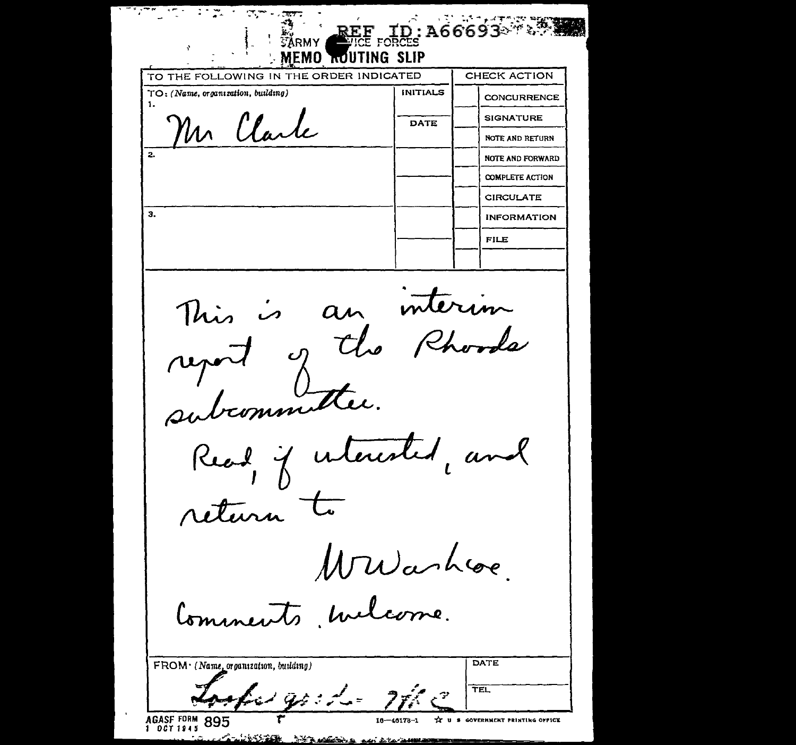$\mathcal{L} = \mathcal{L}$ et m A66693878 FORCES MEMO ROUTING SLIP TO THE FOLLOWING IN THE ORDER INDICATED CHECK ACTION TO: (Name, organization, building) **INITIALS CONCURRENCE** 1. Mr Clarle **SIGNATURE DATE NOTE AND RETURN NOTE AND FORWARD COMPLETE ACTION CIRCULATE**  $\overline{\mathbf{a}}$ . **INFORMATION FILE** an interim رمن<br>حب This report of the subcommittee. Read if interested, and return Wwarhove. Comments Mulcome. **LDATE**  $FROM \cdot (N)$  $\sim$   $\sim$   $\sim$   $\sim$ 

| $\downarrow$ FROM $\cdot$ (Name, organization, building) |                               | <b>DAIL</b>           |
|----------------------------------------------------------|-------------------------------|-----------------------|
| - سام د نوم است کم ک                                     | ÷<br>$\overline{\phantom{a}}$ | TEL                   |
| AGASE FORM 895<br>1 0071945                              | $16 - 46178 - 1$              | IT U S GOVERNMENT PRI |

**Att Marine** 

 $1.0011945$ 

 $185.60$ 

I U S GOVERNMENT FRINTING OFFICE  $16 - 46178 - 1$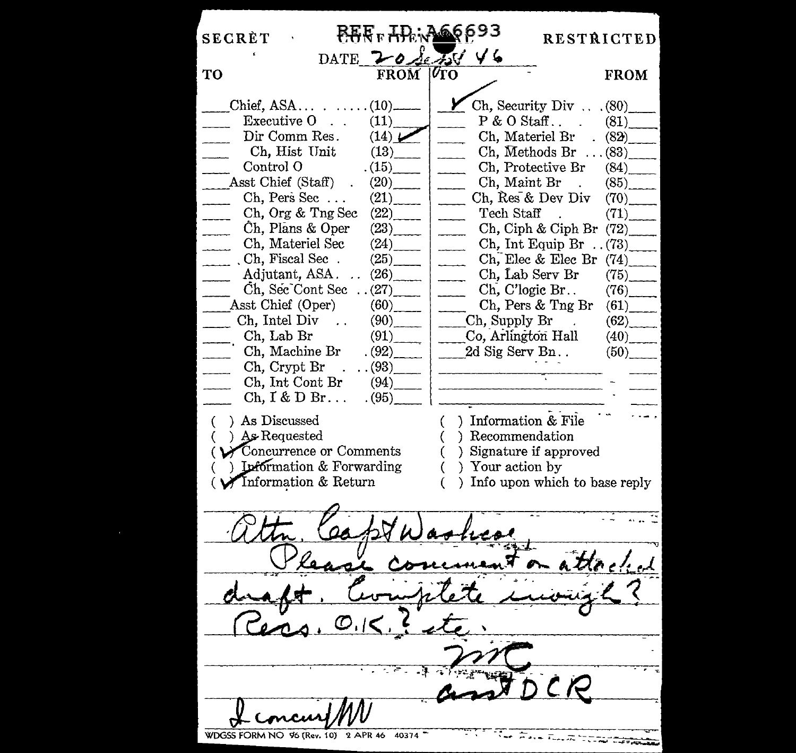| <b>SECRÈT</b>                                             |                | <b>FERF HERMAN 693</b>                         | <b>RESTRICTED</b>              |  |  |  |  |
|-----------------------------------------------------------|----------------|------------------------------------------------|--------------------------------|--|--|--|--|
|                                                           |                | DATE 20 Sets 46                                |                                |  |  |  |  |
| <b>TO</b>                                                 | FROM   UTO     |                                                | <b>FROM</b>                    |  |  |  |  |
| $Chief, ASA \t$                                           |                |                                                | Ch, Security Div (80)          |  |  |  |  |
| Executive $0 \dots$                                       | (11)           |                                                | $P & O$ Staff (81)             |  |  |  |  |
| Dir Comm Res.                                             | (14)           |                                                | Ch, Materiel Br $(82)$         |  |  |  |  |
| Ch, Hist Unit                                             | (13)           | المستنب                                        | Ch, Methods Br $\ldots$ (83)   |  |  |  |  |
| Control O                                                 | (15)           | $\overline{\phantom{a}}$                       | $\chi$ Protective Br (84)      |  |  |  |  |
| Asst Chief (Staff)                                        | (20)           | Ch, Maint Br                                   | (85)                           |  |  |  |  |
| $Ch, Pers$ Sec                                            | (21)           | Ch, Res & Dev Div                              | (70)                           |  |  |  |  |
| Ch, Org & Tng Sec                                         | (22)           | Tech Staff                                     | (71)                           |  |  |  |  |
| Ch, Plans & Oper                                          | (23)           | Ch, Ciph & Ciph Br                             | (72)                           |  |  |  |  |
| Ch, Materiel Sec                                          | (24)           | $\overline{\phantom{a}}$                       | Ch, Int Equip Br $\ldots$ (73) |  |  |  |  |
| $Ch,$ Fiscal Sec.                                         | (25)           | Ch, Elec & Elec Br<br>$\overline{\phantom{a}}$ | (74)                           |  |  |  |  |
| Adjutant, ASA.                                            | (26)           | Ch, Lab Serv Br<br>$\overline{\phantom{a}}$    | (75)                           |  |  |  |  |
| Ch, Sec Cont Sec                                          | $\ldots (27)$  | Ch, C'logic Br<br>------                       | (76)                           |  |  |  |  |
| Asst Chief (Oper)                                         |                | Ch, Pers & Tng Br                              | (61)                           |  |  |  |  |
| $\Box$ Ch, Intel Div $\Box$                               | (90)           | $\Box$ Ch, Supply Br                           | (62)                           |  |  |  |  |
| Ch, Lab Br                                                | (91)           | Co, Arlington Hall                             | (40)                           |  |  |  |  |
| Ch, Machine Br                                            | (92)           | 2d Sig Serv Bn                                 | (50)                           |  |  |  |  |
| Ch, Crypt Br                                              | (93)           |                                                |                                |  |  |  |  |
| Ch, Int Cont Br                                           | (94)           |                                                |                                |  |  |  |  |
| $Ch, I & D Br.$                                           | (95)           |                                                |                                |  |  |  |  |
| ) As Discussed<br>€                                       |                | ) Information & File<br>€                      |                                |  |  |  |  |
| ) As Requested                                            |                | Recommendation<br>(                            |                                |  |  |  |  |
|                                                           |                |                                                |                                |  |  |  |  |
| (VConcurrence or Comments)<br>() Signature if approved    |                |                                                |                                |  |  |  |  |
| ) Information & Forwarding<br>) Your action by            |                |                                                |                                |  |  |  |  |
| (Winformation & Return<br>) Info upon which to base reply |                |                                                |                                |  |  |  |  |
|                                                           |                |                                                |                                |  |  |  |  |
|                                                           |                |                                                |                                |  |  |  |  |
|                                                           |                |                                                |                                |  |  |  |  |
|                                                           |                |                                                |                                |  |  |  |  |
|                                                           |                |                                                |                                |  |  |  |  |
|                                                           |                |                                                |                                |  |  |  |  |
|                                                           |                |                                                |                                |  |  |  |  |
|                                                           |                |                                                |                                |  |  |  |  |
| WDGSS FORM NO 96 (Rev. 10)                                | 2 APR 46 40374 |                                                |                                |  |  |  |  |
|                                                           |                |                                                |                                |  |  |  |  |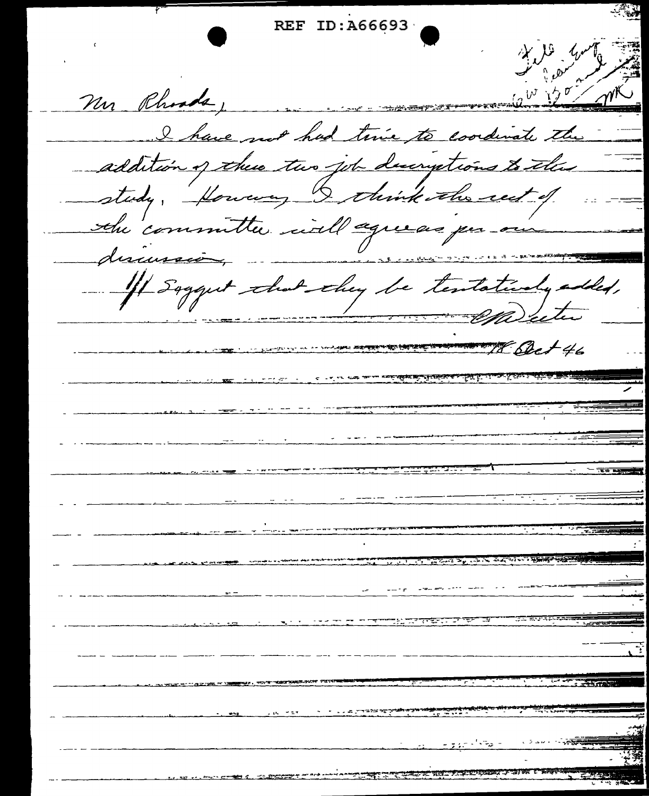REF ID: A66693 Mr Rhoods, I have not had twice to coordinate the addition of these two job discriptions to this study, forwary I think the rest of the committee will agreeas per our  $\frac{1}{\sqrt{1-\frac{1}{2}}\sqrt{1-\frac{1}{2}}\sqrt{1-\frac{1}{2}}\sqrt{1-\frac{1}{2}}}}$ discuss - If Saggest that they be tentatively added, Sect 46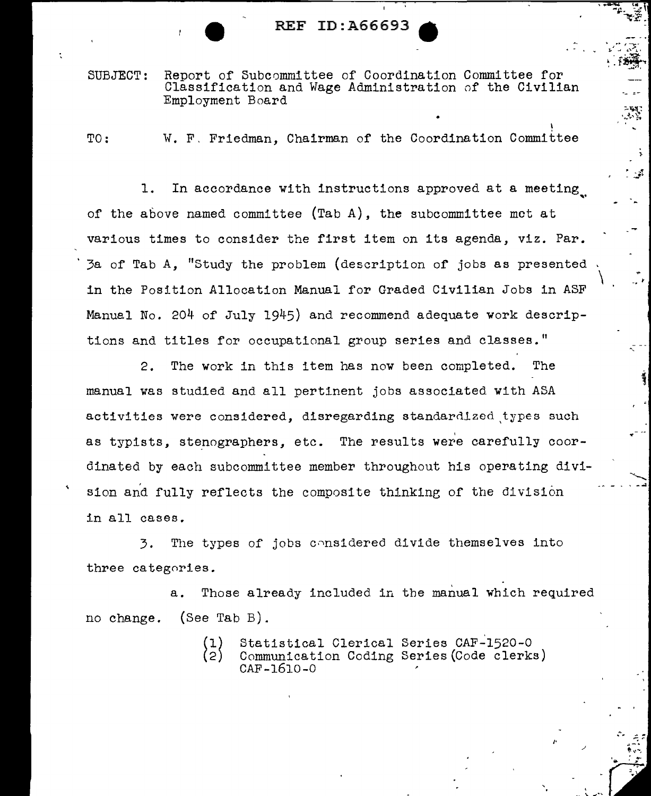SUBJECT: Report of Subcommittee of Coordination Committee for Classification and Wage Administration of the Civilian Employment Board

•

I

}  $\cdot$  .  $\cdot$  :

\

-..... - ' -...;

į.

/•

TO: W. F. Friedman, Chairman of the Coordination Committee

1. In accordance with instructions approved at a meeting. of the above named committee (Tab A), the subcommittee met at various times to consider the first item on its agenda, viz. Par. 3a of Tab A, "Study the problem (description of jobs as presented in the Position Allocation Manual for Graded Civilian Jobs in ASF Manual No. 204 of July 1945) and recommend adequate work descriptions and titles for occupational group series and classes."

2. The work in this item has now been completed. The manual was studied and all pertinent jobs associated with ASA activities were considered, disregarding standardized types such as typists, stenographers, etc. The results were carefully coordinated by each subcommittee member throughout bis operating division and fully reflects the composite thinking of the division in all cases.

3. The types of jobs cnnsidered divide themselves into three categories.

a. Those already included in the manual which required no change. (See Tab B).

> Statistical Clerical Series CAF-1520-0  $\{2\}$ Communication Coding Series(Code clerks) CAF-1610-0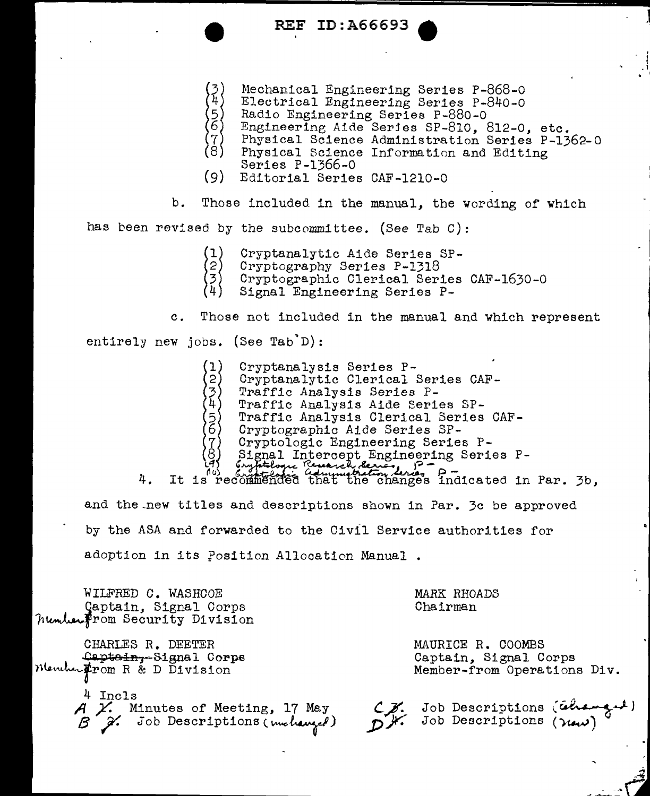- Mechanical Engineering Series P-868-0
- Electrical Engineering Series P-840-0
	-
- Radio Engineering Series P-880-0<br>Engineering Aide Series SP-810, 812-0, etc.
- Physical Science Administration Series P-1362-0
- Physical Science Information and Editing Series  $P-1366-0$
- $(9)$ Editorial Series CAF-1210-0

 $b$ . Those included in the manual, the wording of which

has been revised by the subcommittee. (See Tab C):

- (1) Cryptanalytic Aide Series SP-
- $\overline{2}$ Cryptography Series P-1318
- Cryptographic Clerical Series CAF-1630-0<br>Signal Engineering Series P-
- 

Those not included in the manual and which represent  $\mathbf{c}$ .

entirely new jobs. (See Tab D):

- Cryptanalysis Series P-
- Cryptanalytic Clerical Series CAF-
- Traffic Analysis Series P-
- Traffic Analysis Aide Series SP-
- Traffic Analysis Clerical Series CAF-
- $2345678$ Cryptographic Aide Series SP-
	- Cryptologic Engineering Series P-
	-
- 

(c) Signal Intercept Engineering Series P-<br>(d) Engineering Series P-<br>It is recommended that the changes indicated in Par. 3b, 4. and the new titles and descriptions shown in Par. 3c be approved by the ASA and forwarded to the Civil Service authorities for adoption in its Position Allocation Manual.

WILFRED C. WASHCOE Captain, Signal Corps humber From Security Division

CHARLES R. DEETER Captain-Signal Corps Menutur From R & D Division

> 4 Incls A X. Minutes of Meeting, 17 May<br>B X. Job Descriptions (melanged)

MARK RHOADS Chairman

MAURICE R. COOMBS Captain, Signal Corps Member-from Operations Div.

C. Job Descriptions (changed)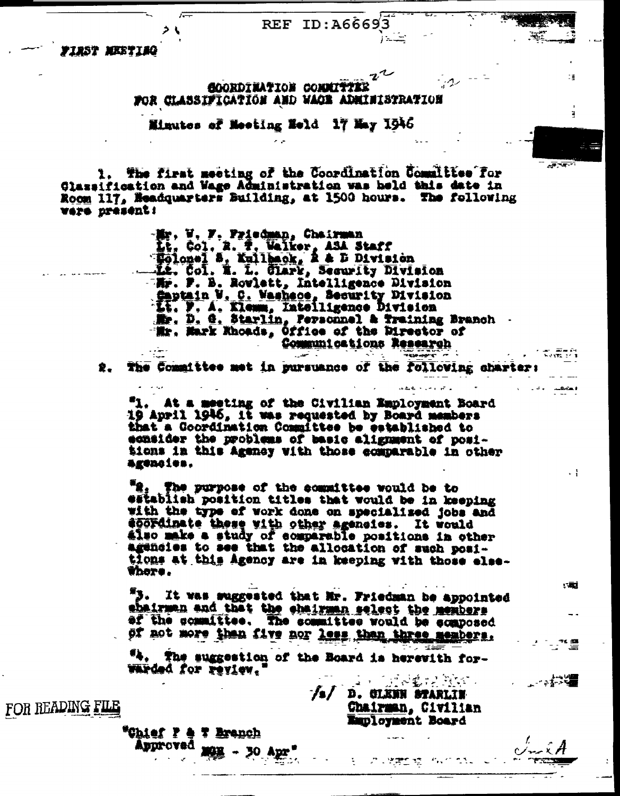$1 - 2$ 

ïΞ

Ě.

 $\ddot{\phantom{0}}$ 

・三古

ᆤᅒᆖ

 $-7 - 1$ 

**FIRST MEETIMG** 

**GOORDINATION CONNITTER** FOR CLASSIFICATION AND WACK ADMINISTRATION

Minutes of Meeting Held 17 May 1946

1. The first meeting of the Coordination Committee for<br>Glassification and Wage Administration was held this date in Room 117, Headquarters Building, at 1500 hours. The following 13sterpre oter

> -Mr. V. F. Priedman, Chairman H. Col. A. T. Walker, ASA Staff<br>Holonel S. Kullback, A & D Division<br>At. Col. N. L. Clark, Security Division 三點. P. B. Rowlett, Intelligence Division Saptain W. C. Washece, Security Division<br>11. P. A. Klemm, Intelligence Division<br>12. D. G. Starlin, Personnel & Training Branch Wr. Mark Khoads, Office of the Mirector of Communications Research warther<br>"Weble" a s

The Committee met in pursuance of the following charter: 象.

At a meeting of the Civilian Employment Board 19 April 1946, it was requested by Board members that a Coordination Committee be established to ecasider the problems of basic alignment of positions in this Agency with those comparable in other agencies.

"2, The purpose of the committee would be to establish position titles that would be in keeping with the type of work done on specialized jobs and doordinate these with other agencies. It would<br>also make a study of comparable positions in other<br>agencies to see that the allocation of such positions at this Agency are in keeping with those else-**Thore.** 

"3. It was suggested that Mr. Friedman be appointed shairman and that the chairman select the members of the committee. The committee would be ecaposed of not more than five nor less than three members.

"4. The suggestion of the Board is herewith for-Warded for review.  $\omega = \pi^+$ 

/s/ D. CLENN STARLIN Chairman, Civilian **Employment Board** 

المسترين

-<br>アドリミングの<mark>物性</mark>変化化された

FOR READING FILE

"Chief P & T Branch Approved max - 30 Apr. tgion i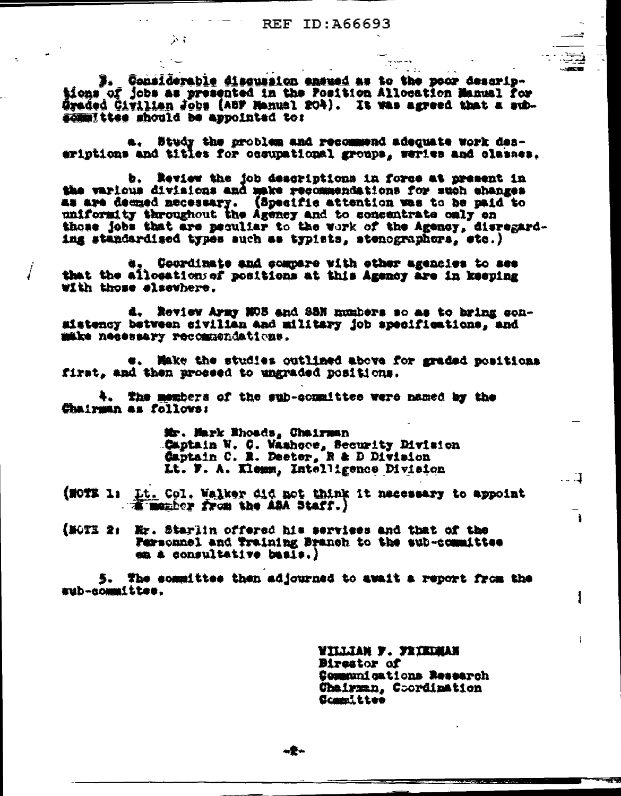$\mathbf{L}$ 

3. Considerable discussion ensued as to the poor descriptions of jobs as presented in the Position Allocation Manual for Graded Civilian Jobs (ABF Manual 204). It was agreed that a subsemmittee should be appointed to:

ふす

a. Study the problem and recommend adequate work daseriptions and titles for occupational groups, series and classes.

b. Review the job descriptions in force at present in the various divisions and make recommendations for such changes as are deemed necessary. (Specific attention was to be paid to uniformity throughout the Agency and to concentrate only on those jobs that are peculiar to the work of the Agency, disregarding standardised types auch as typists, stenographors, etc.)

Coordinate and compare with other agencies to see that the allocations of positions at this Agency are in keeping with those elsewhere.

d. Review Army MOS and SSN numbers so as to bring consistency between civilian and military job specifications, and make necessary recommendations.

e. Make the studies outlined above for graded positions first, and then proseed to ungraded positions.

4. The members of the sub-committee were named by the Chairman as follows:

> Mr. Mark Ehoads, Chairman Captain W. C. Washoos, Security Division<br>Captain C. R. Deeter, R & D Division Lt. F. A. Klemm, Intelligence Division

(NOTE 1: Lt. Col. Walker did not think it necessary to appoint Therefor from the ASA Staff.)

(MOTE 2: Mr. Starlin offered his services and that of the Personnel and Training Branch to the sub-committee en a consultative basis.)

5. The sommittee then adjourned to await a report from the aub-committee.

> villiah p. prikuman **Birestor of** Communications Research Chairman, Coordination Committee

 $\mathbb{Z}$ 

 $\mathbf{1}$ 

1

 $+2-$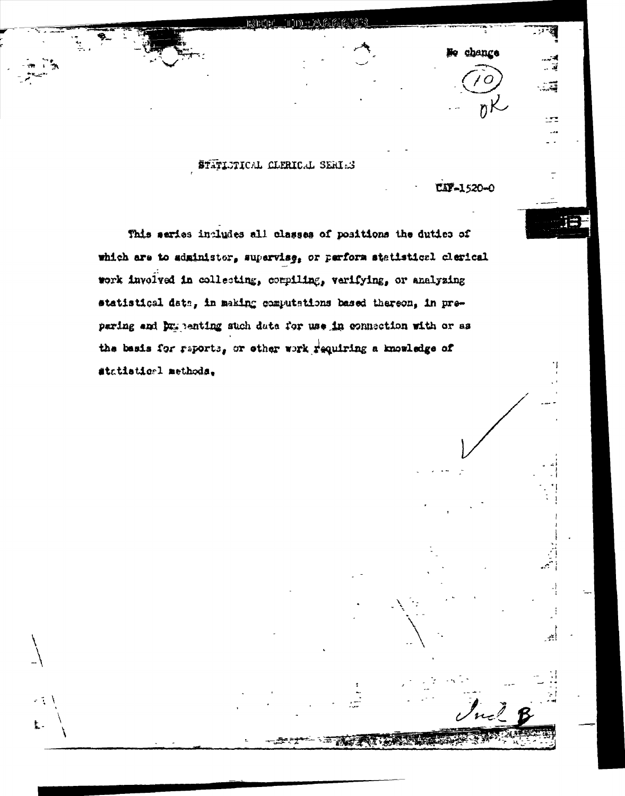## STATISTICAL CLERICAL SERIAS

**CIF-1520-0** 

Ne chance

 $nK$ 

÷

 $252$ - . .

j÷

أيجي

**A REAL ON** 

This series includes all classes of positions the duties of which are to sdministor, supervise, or perform statistical clerical work involved in collecting, compiling, verifying, or analyzing statistical data, in making computations based thereon, in preparing and by penting such data for use in connection with or as the basis for reports, or other work requiring a knowledge of #tatistical methods,

яĩ,

Ł.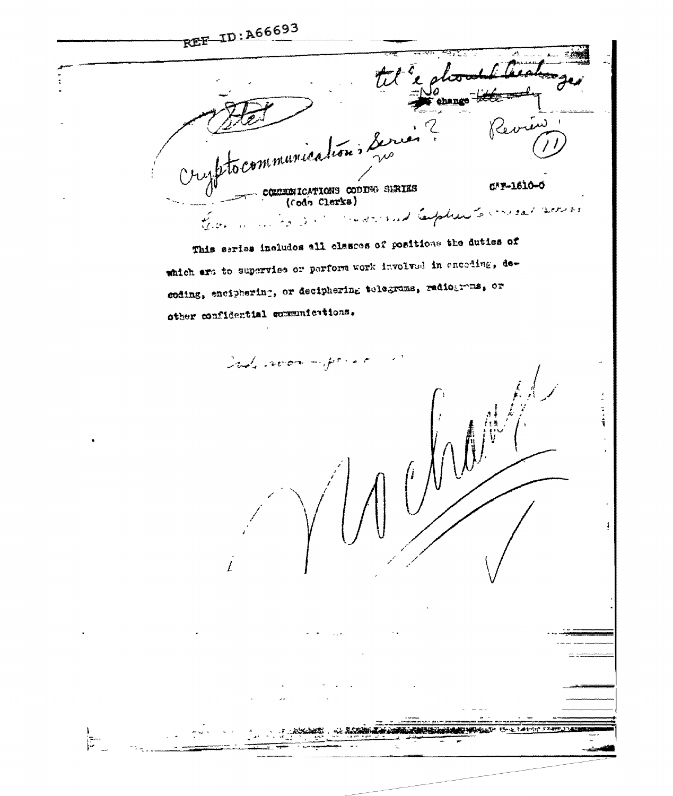REF ID: A66693 tel "e glood shango titul cryptocommunication, Series Revie communications coole series n\*\*-1610-0 the sound Captiers to mesal somes This series includes all classes of positions the duties of which are to supervise or perform work involved in encoding, decoding, enciphering, or deciphering telegroms, radiograms, or other confidential communications. Sade abon important in A A MARCHANIA MARIA A T  $\sum_{i=1}^{n}$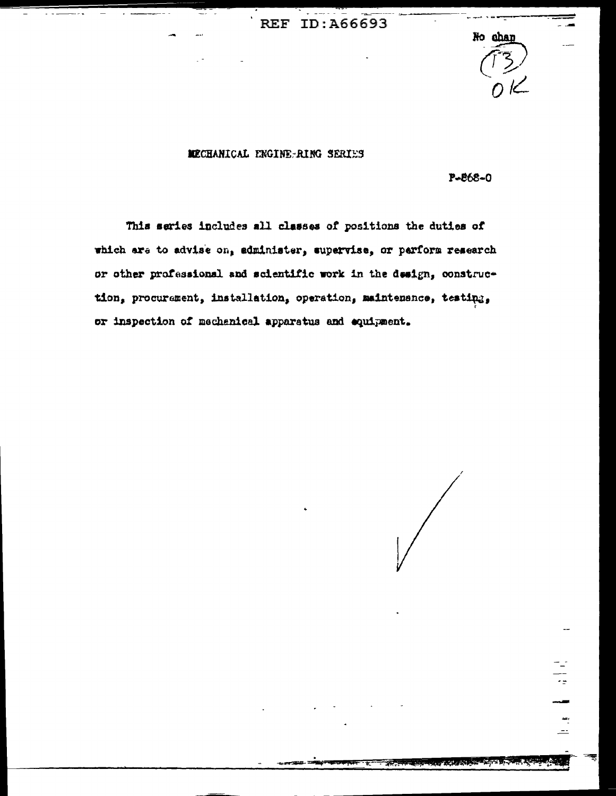#### MCCHANICAL ENGINE-RING SERIES

 $P - 868 - 0$ 

No chan

This series includes all classes of positions the duties of which are to advise on, administer, supervise, or parform research or other professional and scientific work in the design, construction, procurement, installation, operation, maintenance, testing, or inspection of mechanical apparatus and equipment.

57

 $\frac{4}{1}$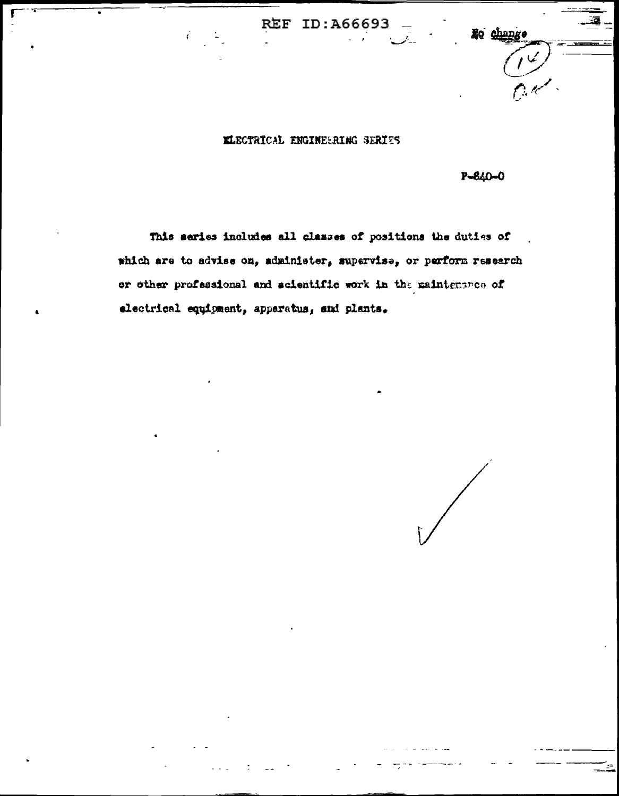$\frac{1}{\sqrt{2}}$ 

No change

### KLECTRICAL ENGINEERING SERIES

 $P - 840 - 0$ 

This series includes all classes of positions the duties of which are to advise on, administer, supervise, or perform research or other professional and scientific work in the maintenance of electrical equipment, apparatus, and plants.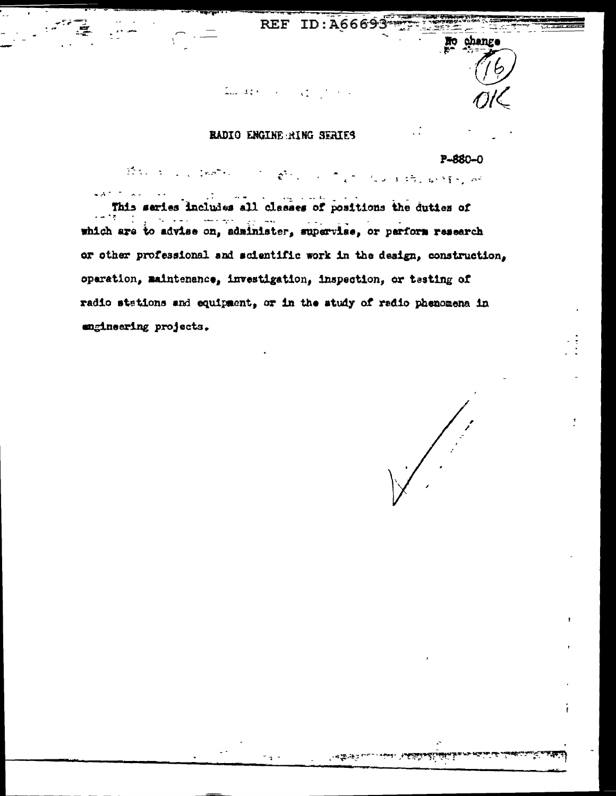$\mathbf{S}^{\mathbf{S}}_{\mathbf{A}}$ 

No change

# RADIO ENGINE RING SERIES

 $\mathbb{Z}_{\text{max}}$  and  $\mathbb{Z}_{\text{max}}$ 

## P-880-0

the sign problem  $e^{i\lambda}$  .  $x^{\frac{1}{2}}$  . Thus, as  $z\overline{z}$  , we fixed as

This series includes all classes of positions the duties of which are to advise on, administer, supervise, or parform research or other professional and scientific work in the design, construction, operation, maintenance, investigation, inspection, or testing of radio stations and equipment, or in the study of radio phenomena in engineering projects.

-425.42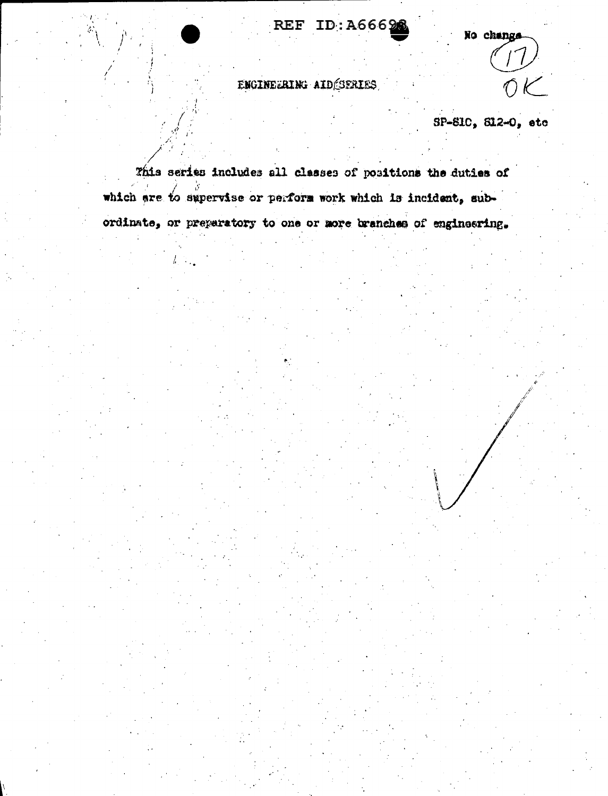REF ID:A6662

No change

# ENGINEERING AID SERIES

SP-SIC, S12-0, etc

This series includes all classes of positions the duties of which are to supervise or perform work which is incident, subordinate, or preparatory to one or more branches of engineering.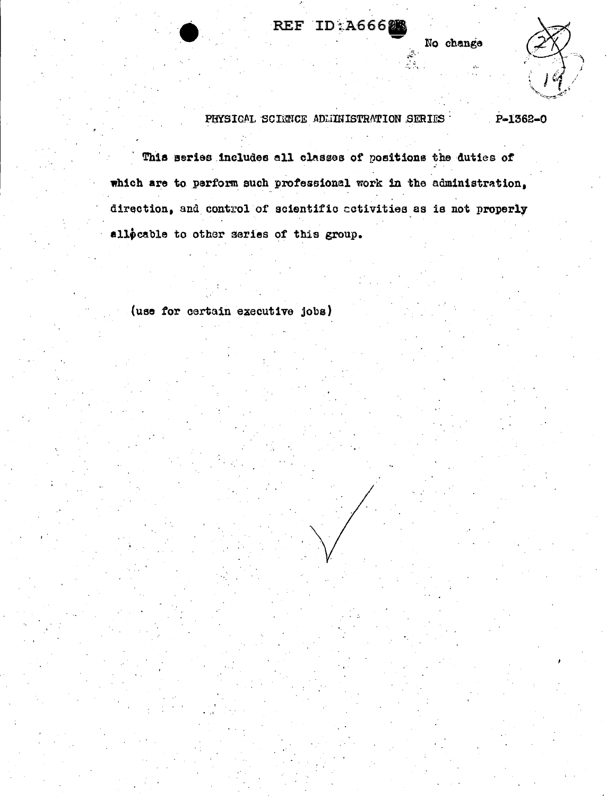No change



#### PHYSICAL SCIENCE ADMINISTRATION SERIES  $P-1362-0$

This series includes all classes of positions the duties of which are to perform such professional work in the administration, direction, and control of scientific activities as is not properly allocable to other series of this group.

REF ID:A6662

(use for certain executive jobs)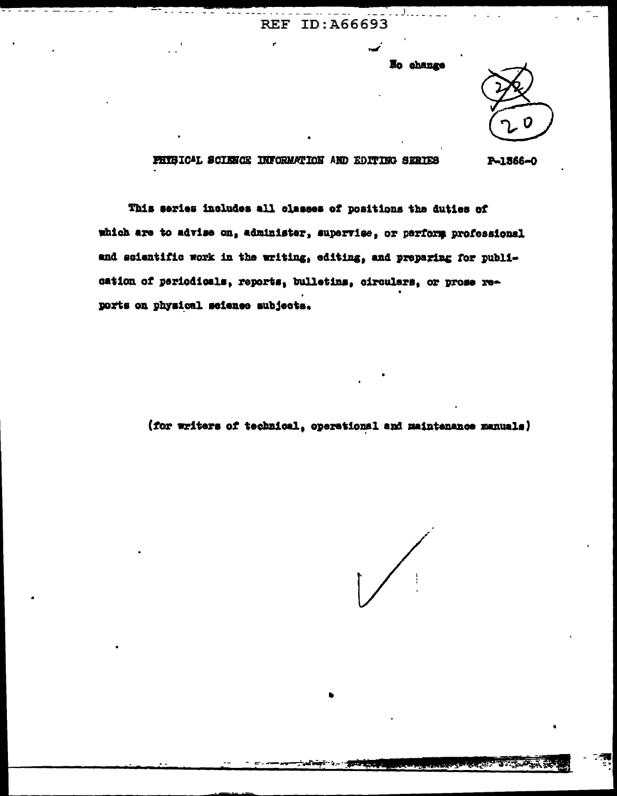No change

FHISICAL SCIENCE INFORMATION AND EDITING SERIES P-1566-0

This series includes all classes of positions the duties of which are to advise on, administer, supervise, or perform professional and scientific work in the writing, editing, and preparing for publication of periodicals, reports, bulletins, circulars, or prose reports on physical science subjects.

(for writers of technical, operational and maintenance manuals)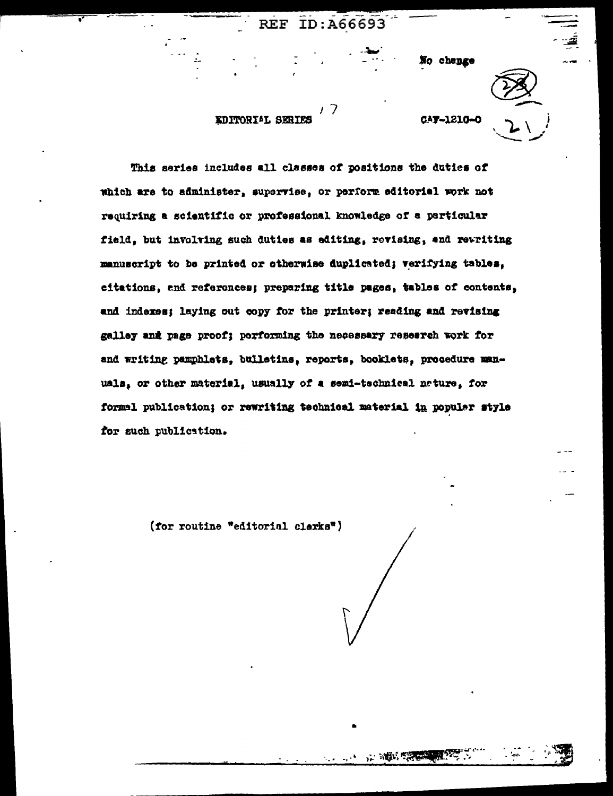No change

### EDITORIAL SERIES

CAY-1210-0

This series includes all classes of positions the duties of which are to administer, supervise, or perform editorial work not requiring a scientific or professional knowledge of a particular field, but involving such duties as editing, revising, and rewriting manuscript to be printed or otherwise duplicated; verifying tables, eitations, and references; preparing title pages, tables of contents, and indexes; laying out copy for the printer; reading and revising galley and page proof; porforming the necessary research work for and writing pamphlets, bulletins, reports, booklets, procedure manuals, or other material, usually of a semi-technical nature, for formal publication; or rewriting technical material in popular style for such publication.

**The South State** 

(for routine "editorial clerks")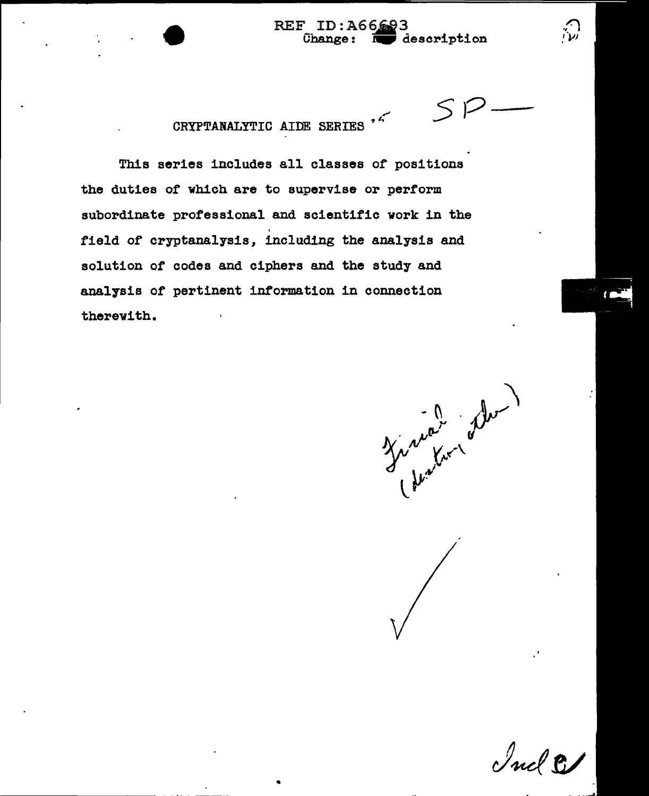CRYPTANALYTIC AIDE SERIES <sup>7</sup>

This series includes all classes of positions the duties of which are to supervise or perform subordinate professional and scientific work in the field of cryptanalysis, including the analysis and solution of codes and ciphers and the study and analysis of pertinent information in connection therewith.

•

Timber de

 $55$ 

 $\bigcirc$ 

Ind &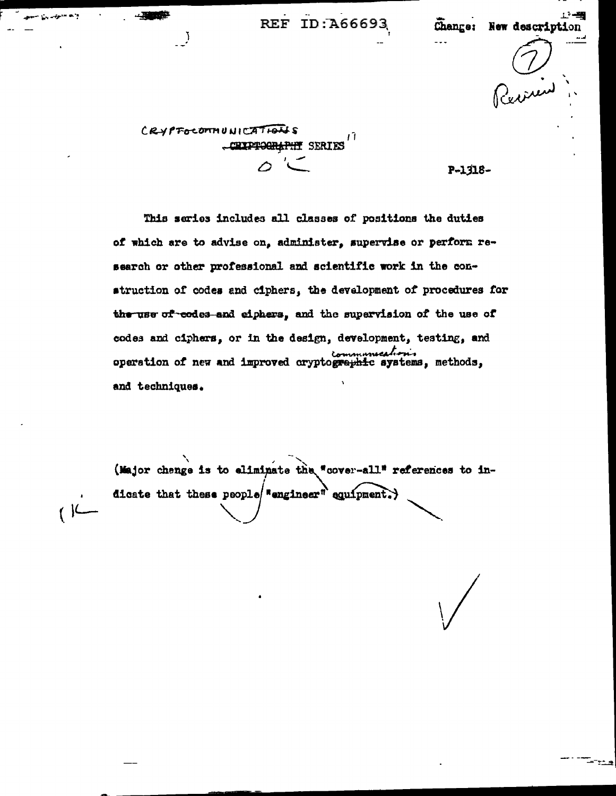工一当

Change: New description inin

CRYPFOCOMMUNICATIONS 17 CRIPTOGRAPHY SERIES

 $\overline{I}$ 

 $($   $\vert$ 

P-1318-

This series includes all classes of positions the duties of which are to advise on, administer, supervise or perform research or other professional and scientific work in the construction of codes and ciphers, the development of procedures for the use of codes and eiphers, and the supervision of the use of codes and ciphers, or in the design, development, testing, and communications operation of new and improved cryptographic systems, methods, and techniques.

(Major change is to eliminate the "cover-all" references to indicate that these people sagineer" equipment.)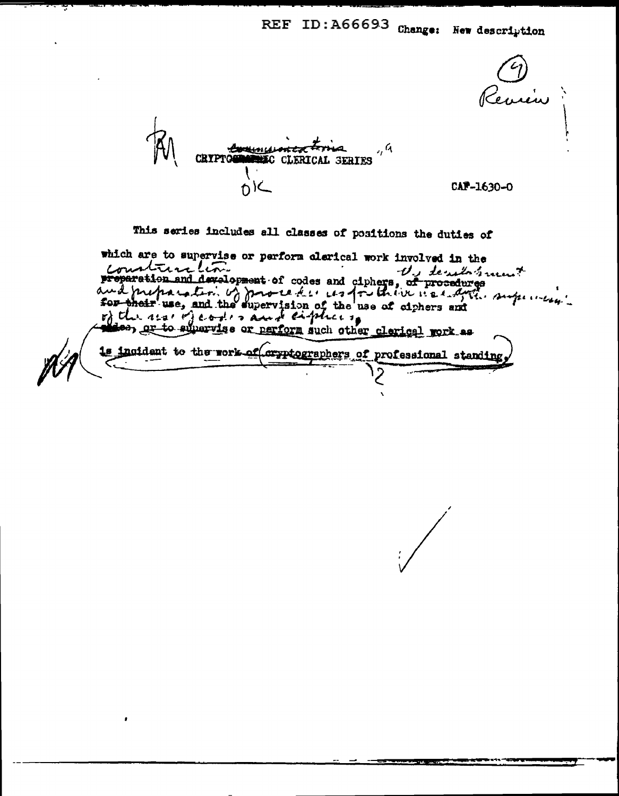., ৭ **PALITI** ERICAL SERIES OIL CAF-1630-0 This series includes all classes of positions the duties of

which are to supervise or perform clarical work involved in the proparation and development of codes and ciphers, of procedures<br>and proparation and development of codes and ciphers, of procedures<br>sor their use, and the supervision of the use of eighers and<br>r) the use of the supervision lee, or to supervise or perform such other clerical work as 1s incident to the rork of cryptographers of professional standing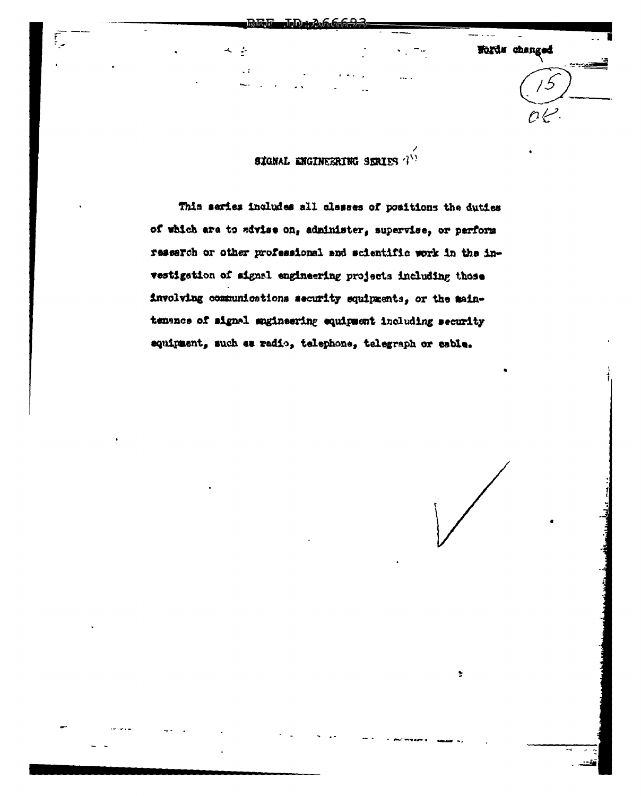Words changed

SIGNAL ENGINEERING SERIES  $T^{(1)}$ 

This series includes all classes of positions the duties of which are to advise on, administer, supervise, or perform research or other professional and scientific work in the investigation of aignal engineering projects including those involving communications security equipments, or the maintenance of signal engineering equipment including security equipment, such as radio, telephone, telegraph or cable.

 $\ddot{\tau}$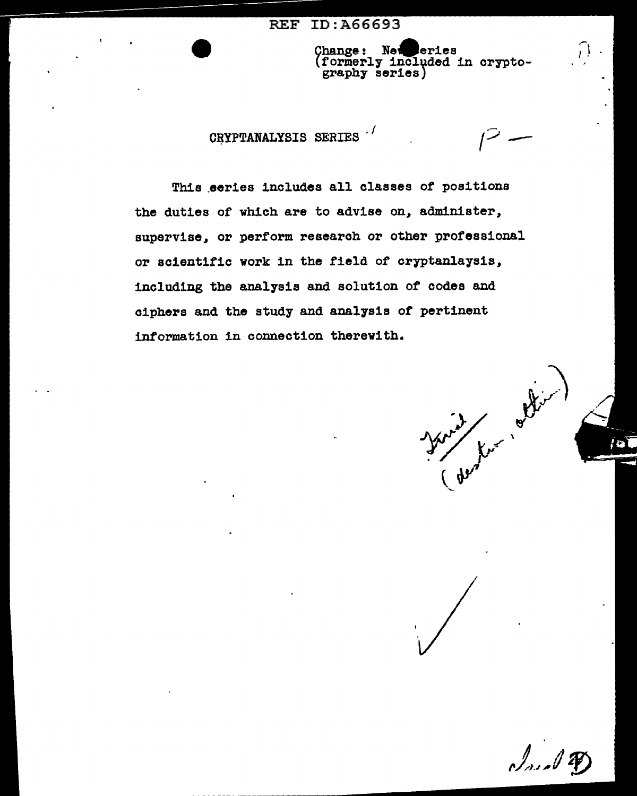#### ID: A66693 **REF**

whange: New eries<br>(formerly included in crypto-<br>graphy series) Change:

 $\mathcal{V}$ 

# CRYPTANALYSIS SERIES

This series includes all classes of positions the duties of which are to advise on, administer, supervise, or perform research or other professional or scientific work in the field of cryptanlaysis, including the analysis and solution of codes and ciphers and the study and analysis of pertinent information in connection therewith.

Ker looks

Ind P.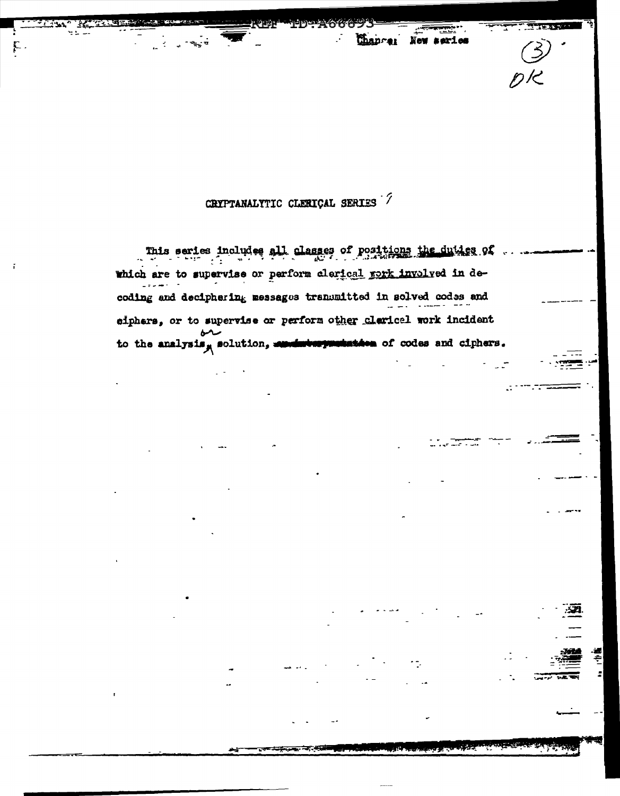CRYPTANALYTIC CLERICAL SERIES 7

F

Chancer New series

This series includes all classes of positions the duties of which are to supervise or perform clerical rork involved in decoding and deciphering messages transmitted in solved codes and eiphers, or to supervise or perform other clarical work incident منطبة to the analysis, solution, members present them of codes and ciphers.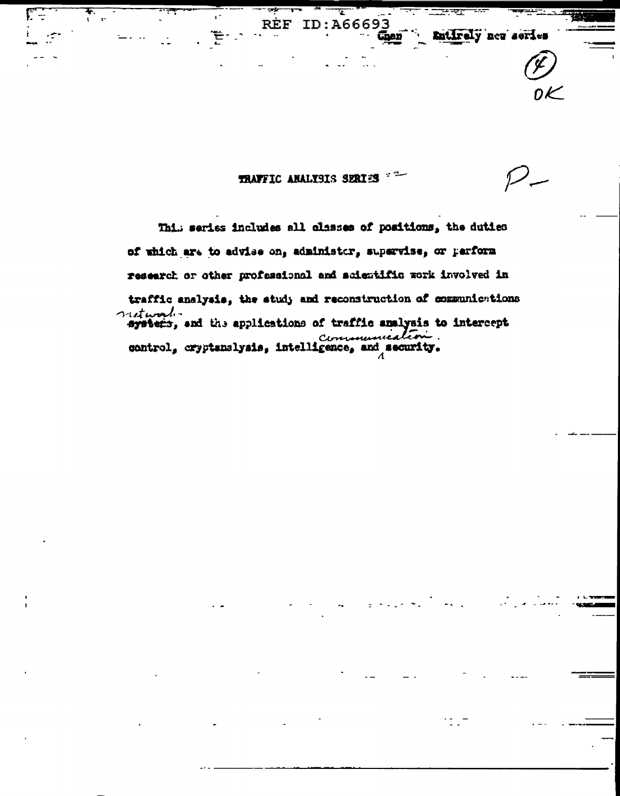

τ

นิเดอ

Entirely new series

REF ID: A66693

. 현대

F÷

This series includes all classes of positions, the duties of which are to advise on, administor, supervise, or perform research or other professional and acientific work involved in traffic analysis, the study and reconstruction of communications autural. communication.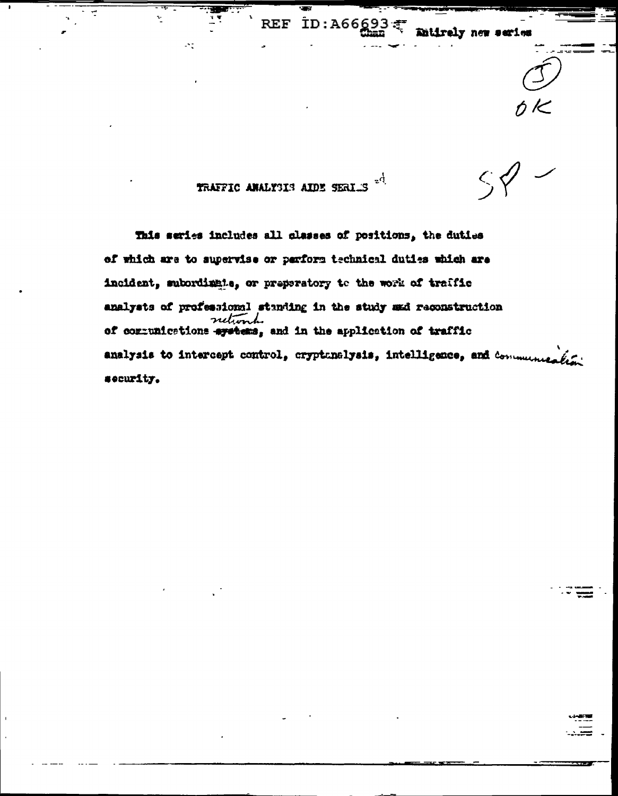$\zeta$ -d TRAFFIC ANALYSIS AIDE SERIUS

Entirely new serie

This series includes all plasses of positions, the duties of which are to supervise or parform technical duties which are incident, subordinate, or preparatory to the work of traffic analysts of professional standing in the study ænd reconstruction of communications are terms, and in the application of traffic analysis to intercept control, cryptunelysis, intelligence, and communica-بمبرقد security.

REF ID: A66693

 $\mathcal{P}^{\perp}_{\mathcal{L}}$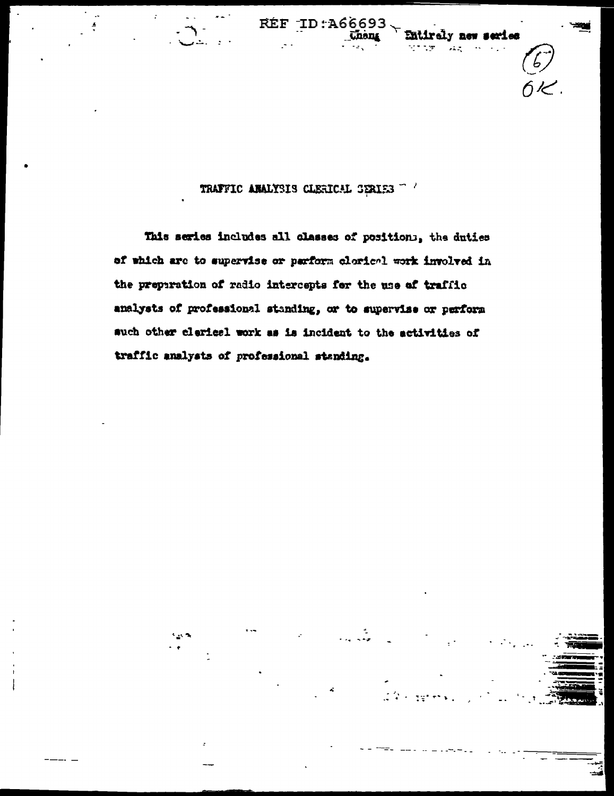

series



This series includes all classes of positions, the duties of which are to supervise or parform clorical work involved in the preparation of radio intercepts for the use of traffic analysts of professional standing, or to supervise or perform such other clerical work as is incident to the activities of traffic analysts of professional standing.

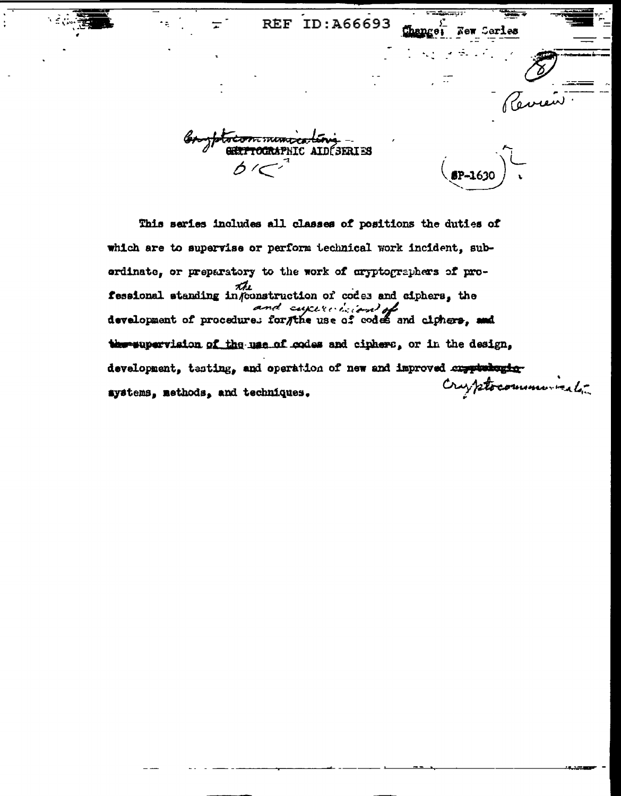hange; New Corles

**IC AIDÉSERIES** 

ىدە ك

This series includes all classes of positions the duties of which are to supervise or perform technical work incident, suberdinate, or preparatory to the work of cryptographers of professional standing in/construction of codes and ciphers, the development of procedures for the use of codes and climers, and thereupervision of the use of codes and ciphere, or in the design, development, testing, and operation of new and improved any production Cryptocommunication systems, methods, and techniques.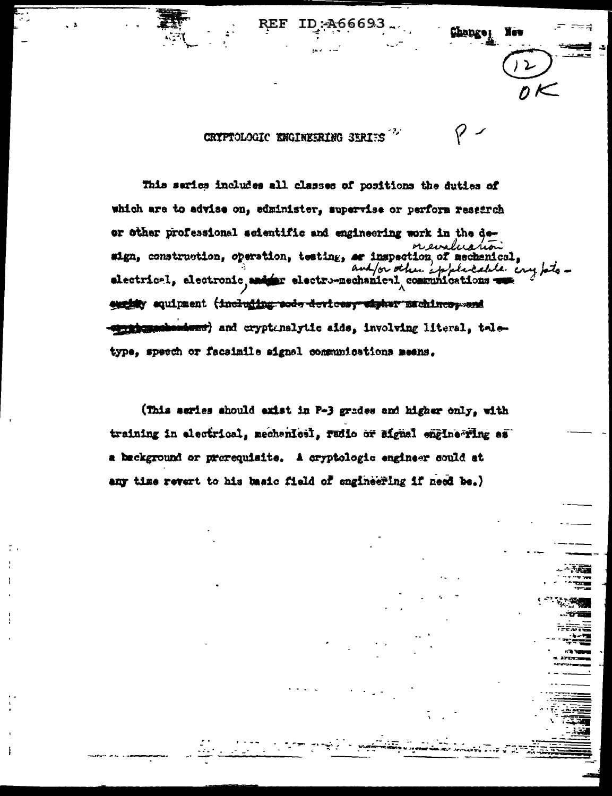CRYPTOLOGIC ENGINEERING SERIES

This series includes all classes of positions the duties of which are to advise on, edminister, supervise or perform research or other professional scientific and engineering work in the derevaluation sign, construction, operation, testing, ar inspection of mechanical, electrical, electronic, entre electro-mechanical commissions of the enginy equipment (including sods devices; sigher muchines, and meridoganisations; and cryptenslytic aids, involving literal, teletype, speech or facsimile signal communications meens.

،6669

i eu

(This series should exist in P-3 grades and higher only, with training in electrical, mechanical, radio or signal engine ring as a background or prerequisite. A cryptologic engineer could at any time revert to his basic field of engineering if need be.)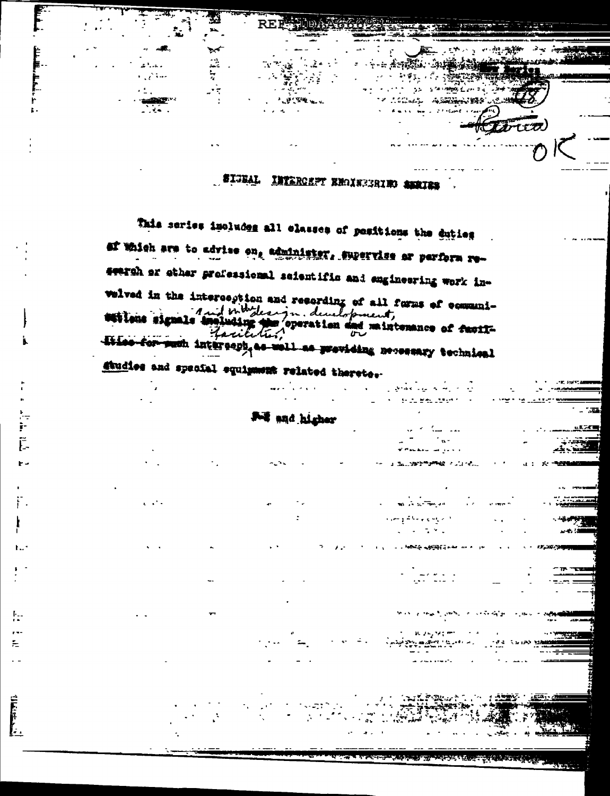

 $30.734$ 

 $\sim$ 

 $\mathbb{R}^2$ 

늦

 $\sim$   $\tau$ 

 $\sim$ 

**NORTH** 

 $\mathcal{L}^{\mathcal{A}}$  ,  $\mathcal{L}^{\mathcal{A}}$  ,

 $V_{\rm{eff}}$ 

肚

**CONTROL** 

# SIGEAL INTERCEPT ENGINEERING AMAIRS

 $\cdots$  ,  $\mathcal{L}$  ,  $\mathcal{L}$  ,  $\mathcal{L}$  ,  $\mathcal{L}$ 

in as commented for t

أوبارا فارتعابها ليهاد عقاقل را skiel Bautzesman

a mai nagarawang penganjurut di kalendar

المستحدين

**SENS ASSESSMENT ROLL** 

والمحاملات الداعيتها المعرة

as a synaptime

man a mail ann a comhaig a

**THE REPORT OF PRESIDENT CONTROL PROPERTY** 

 $\sigma_{\rm g}$  and  $\sigma_{\rm g}$ 

w ing

 $\mathbf{u}$  .

イスクロール みんなかん (特別の)

びかししか

 $-7.32$ 

This series includes all classes of positions the duties af Which are to advise on, administer, supervise or perform research or other professional seientific and engineering work inwelved in the interception and resording of all forms of communi-1 with what leaving development, estions signals à maintenance of facil-Lacie diise for puch intercop, as well as previding necessary technical studies and special equipment related theretes-

For and higher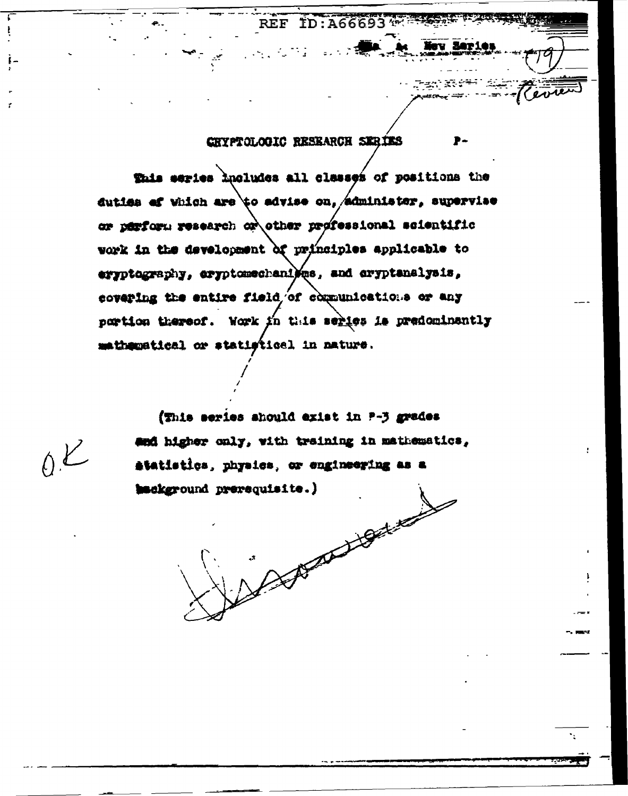్రాజ్లు ( కళిక<sup>ం</sup>

## CRYPTOLOGIC RESEARCH SERIES

This series includes all classes of positions the duties of which are to advise on, administer, supervise or perform research or other professional scientific work in the development of principles applicable to eryptography, eryptomechanies, and eryptanalysis, covering the entire field of communications or any portion thereof. Work in this series is predominantly mathematical or statistical in nature.

(This series should exist in P-3 grades and higher only, with training in mathematics, atatistics, physics, or engineering as a hackground prerequisite.) A Charles Hardwell

 $O(E)$